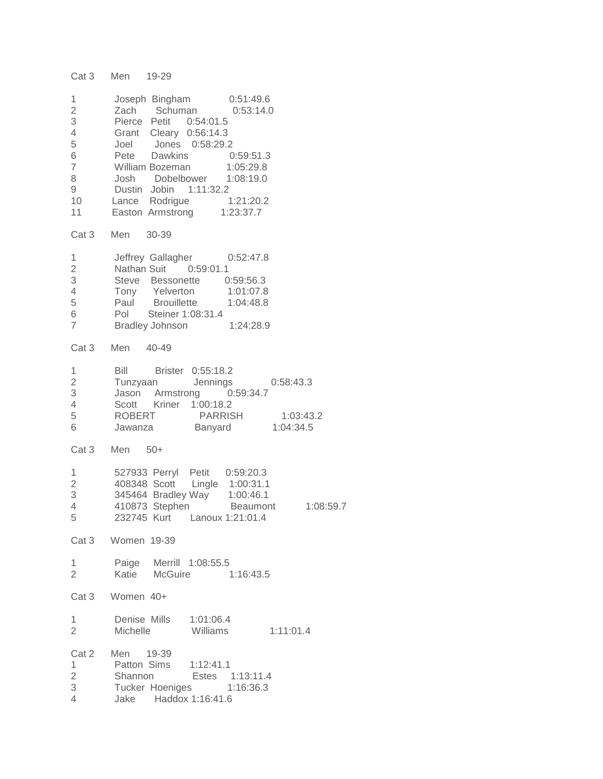Cat 3 Men 19-29 1 Joseph Bingham 0:51:49.6 2 Zach Schuman 0:53:14.0 3 Pierce Petit 0:54:01.5 4 Grant Cleary 0:56:14.3 5 Joel Jones 0:58:29.2 6 Pete Dawkins 0:59:51.3 7 William Bozeman 1:05:29.8 8 Josh Dobelbower 1:08:19.0 9 Dustin Jobin 1:11:32.2 10 Lance Rodrigue 1:21:20.2 11 Easton Armstrong 1:23:37.7 Cat 3 Men 30-39 1 Jeffrey Gallagher 0:52:47.8 2 Nathan Suit 0:59:01.1 3 Steve Bessonette 0:59:56.3 4 Tony Yelverton 1:01:07.8 5 Paul Brouillette 1:04:48.8 6 Pol Steiner 1:08:31.4 7 Bradley Johnson 1:24:28.9 Cat 3 Men 40-49 1 Bill Brister 0:55:18.2  $\frac{2}{2}$  Tunzyaan Jennings 0:58:43.3 3 Jason Armstrong 0:59:34.7 4 Scott Kriner 1:00:18.2 5 ROBERT PARRISH 1:03:43.2 6 Jawanza Banyard 1:04:34.5  $Cat 3$  Men  $50+$ 1 527933 Perryl Petit 0:59:20.3 2 408348 Scott Lingle 1:00:31.1 3 345464 Bradley Way 1:00:46.1 4 410873 Stephen Beaumont 1:08:59.7 5 232745 Kurt Lanoux 1:21:01.4 Cat 3 Women 19-39 1 Paige Merrill 1:08:55.5 2 Katie McGuire 1:16:43.5 Cat 3 Women 40+ 1 Denise Mills 1:01:06.4 2 Michelle Williams 1:11:01.4 Cat 2 Men 19-39 1 Patton Sims 1:12:41.1 2 Shannon Estes 1:13:11.4 3 Tucker Hoeniges 1:16:36.3 4 Jake Haddox 1:16:41.6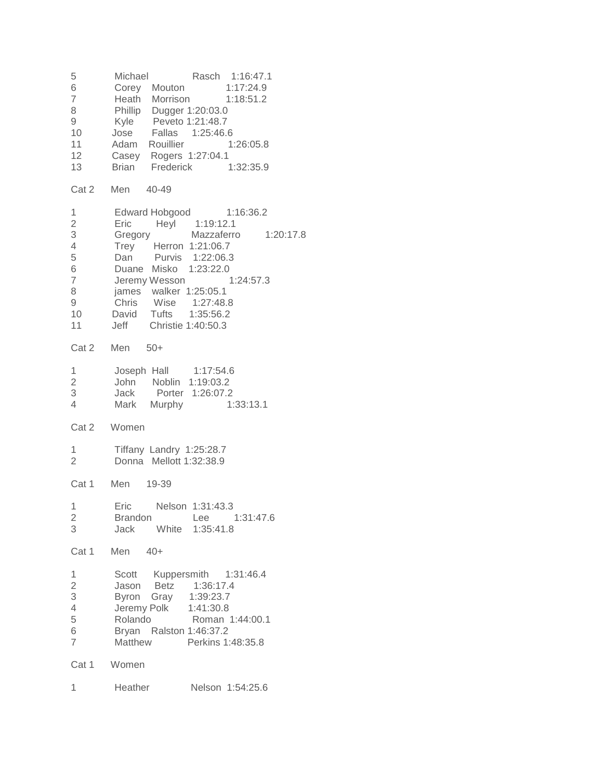5 Michael Rasch 1:16:47.1 6 Corey Mouton 1:17:24.9 7 Heath Morrison 1:18:51.2<br>8 Phillip Dugger 1:20:03.0 Phillip Dugger 1:20:03.0 9 Kyle Peveto 1:21:48.7 10 Jose Fallas 1:25:46.6 11 Adam Rouillier 1:26:05.8 12 Casey Rogers 1:27:04.1 13 Brian Frederick 1:32:35.9 Cat 2 Men 40-49 1 Edward Hobgood 1:16:36.2 2 Eric Heyl 1:19:12.1<br>3 Gregory Mazzaferro 3 Gregory Mazzaferro 1:20:17.8<br>4 Trev Herron 1:21:06.7 4 Trey Herron 1:21:06.7 5 Dan Purvis 1:22:06.3 6 Duane Misko 1:23:22.0 7 Jeremy Wesson 1:24:57.3 8 james walker 1:25:05.1<br>9 Chris Wise 1:27:48.8 Wise 1:27:48.8<br>1:35:56.2 10 David Tufts 1:35:56.2 11 Jeff Christie 1:40:50.3 Cat  $2$  Men  $50+$ 1 Joseph Hall 1:17:54.6 2 John Noblin 1:19:03.2 3 Jack Porter 1:26:07.2 4 Mark Murphy 1:33:13.1 Cat 2 Women 1 Tiffany Landry 1:25:28.7 2 Donna Mellott 1:32:38.9 Cat 1 Men 19-39 1 Eric Nelson 1:31:43.3 2 Brandon Lee 1:31:47.6 3 Jack White 1:35:41.8 Cat 1 Men  $40+$ 1 Scott Kuppersmith 1:31:46.4 2 Jason Betz 1:36:17.4 Byron Gray 1:39:23.7 4 Jeremy Polk 1:41:30.8<br>5 Rolando Roman Rolando Roman 1:44:00.1 6 Bryan Ralston 1:46:37.2 7 Matthew Perkins 1:48:35.8 Cat 1 Women 1 Heather Nelson 1:54:25.6